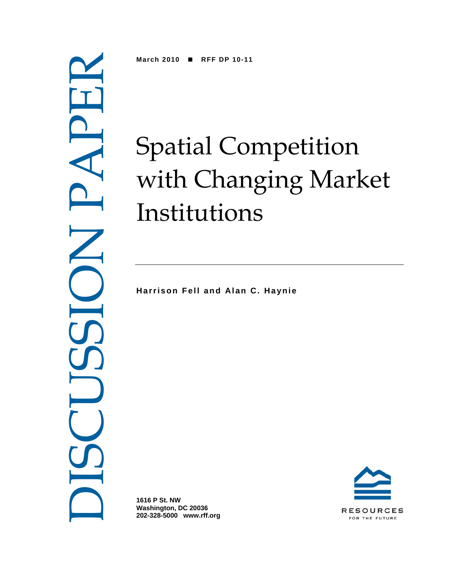

# Spatial Competition with Changing Market Institutions

**Harrison Fell and Alan C. Haynie** 

**1616 P St. NW Washington, DC 20036 202-328-5000 www.rff.org** 

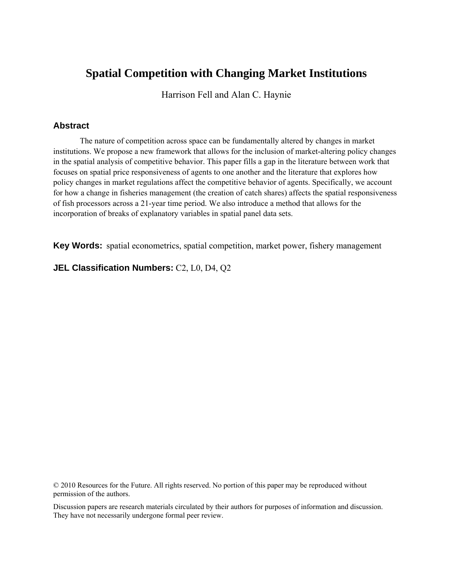# **Spatial Competition with Changing Market Institutions**

Harrison Fell and Alan C. Haynie

# **Abstract**

The nature of competition across space can be fundamentally altered by changes in market institutions. We propose a new framework that allows for the inclusion of market-altering policy changes in the spatial analysis of competitive behavior. This paper fills a gap in the literature between work that focuses on spatial price responsiveness of agents to one another and the literature that explores how policy changes in market regulations affect the competitive behavior of agents. Specifically, we account for how a change in fisheries management (the creation of catch shares) affects the spatial responsiveness of fish processors across a 21-year time period. We also introduce a method that allows for the incorporation of breaks of explanatory variables in spatial panel data sets.

**Key Words:** spatial econometrics, spatial competition, market power, fishery management

**JEL Classification Numbers:** C2, L0, D4, Q2

© 2010 Resources for the Future. All rights reserved. No portion of this paper may be reproduced without permission of the authors.

Discussion papers are research materials circulated by their authors for purposes of information and discussion. They have not necessarily undergone formal peer review.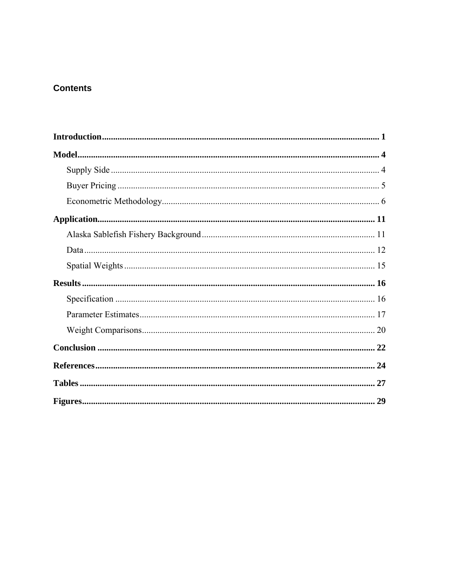# **Contents**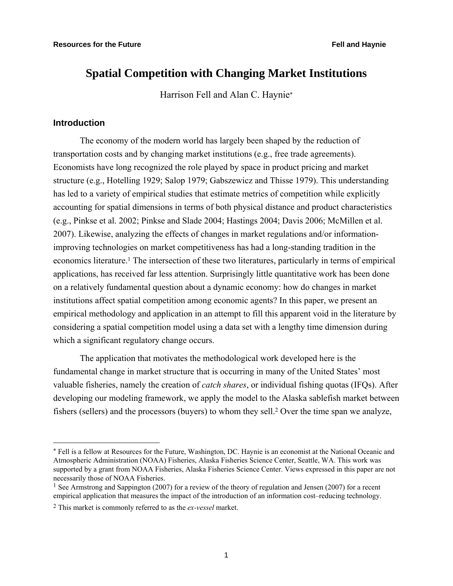# **Spatial Competition with Changing Market Institutions**

Harrison Fell and Alan C. Haynie<sup>∗</sup>

# **Introduction**

 $\overline{a}$ 

The economy of the modern world has largely been shaped by the reduction of transportation costs and by changing market institutions (e.g., free trade agreements). Economists have long recognized the role played by space in product pricing and market structure (e.g., Hotelling 1929; Salop 1979; Gabszewicz and Thisse 1979). This understanding has led to a variety of empirical studies that estimate metrics of competition while explicitly accounting for spatial dimensions in terms of both physical distance and product characteristics (e.g., Pinkse et al. 2002; Pinkse and Slade 2004; Hastings 2004; Davis 2006; McMillen et al. 2007). Likewise, analyzing the effects of changes in market regulations and/or informationimproving technologies on market competitiveness has had a long-standing tradition in the economics literature.1 The intersection of these two literatures, particularly in terms of empirical applications, has received far less attention. Surprisingly little quantitative work has been done on a relatively fundamental question about a dynamic economy: how do changes in market institutions affect spatial competition among economic agents? In this paper, we present an empirical methodology and application in an attempt to fill this apparent void in the literature by considering a spatial competition model using a data set with a lengthy time dimension during which a significant regulatory change occurs.

The application that motivates the methodological work developed here is the fundamental change in market structure that is occurring in many of the United States' most valuable fisheries, namely the creation of *catch shares*, or individual fishing quotas (IFQs). After developing our modeling framework, we apply the model to the Alaska sablefish market between fishers (sellers) and the processors (buyers) to whom they sell.2 Over the time span we analyze,

<sup>∗</sup> Fell is a fellow at Resources for the Future, Washington, DC. Haynie is an economist at the National Oceanic and Atmospheric Administration (NOAA) Fisheries, Alaska Fisheries Science Center, Seattle, WA. This work was supported by a grant from NOAA Fisheries, Alaska Fisheries Science Center. Views expressed in this paper are not necessarily those of NOAA Fisheries.

<sup>&</sup>lt;sup>1</sup> See Armstrong and Sappington (2007) for a review of the theory of regulation and Jensen (2007) for a recent empirical application that measures the impact of the introduction of an information cost–reducing technology.

<sup>2</sup> This market is commonly referred to as the *ex-vessel* market.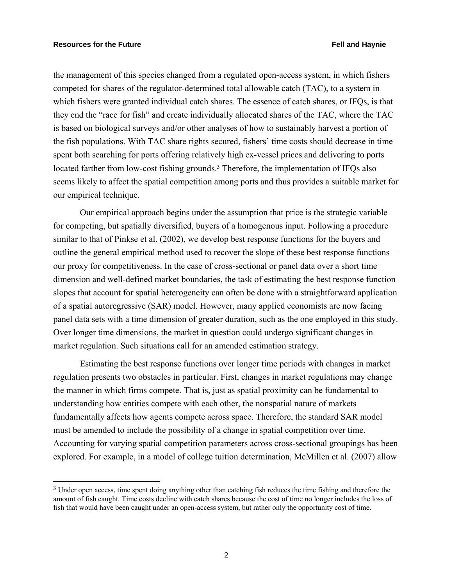$\overline{a}$ 

the management of this species changed from a regulated open-access system, in which fishers competed for shares of the regulator-determined total allowable catch (TAC), to a system in which fishers were granted individual catch shares. The essence of catch shares, or IFQs, is that they end the "race for fish" and create individually allocated shares of the TAC, where the TAC is based on biological surveys and/or other analyses of how to sustainably harvest a portion of the fish populations. With TAC share rights secured, fishers' time costs should decrease in time spent both searching for ports offering relatively high ex-vessel prices and delivering to ports located farther from low-cost fishing grounds.<sup>3</sup> Therefore, the implementation of IFOs also seems likely to affect the spatial competition among ports and thus provides a suitable market for our empirical technique.

Our empirical approach begins under the assumption that price is the strategic variable for competing, but spatially diversified, buyers of a homogenous input. Following a procedure similar to that of Pinkse et al. (2002), we develop best response functions for the buyers and outline the general empirical method used to recover the slope of these best response functions our proxy for competitiveness. In the case of cross-sectional or panel data over a short time dimension and well-defined market boundaries, the task of estimating the best response function slopes that account for spatial heterogeneity can often be done with a straightforward application of a spatial autoregressive (SAR) model. However, many applied economists are now facing panel data sets with a time dimension of greater duration, such as the one employed in this study. Over longer time dimensions, the market in question could undergo significant changes in market regulation. Such situations call for an amended estimation strategy.

Estimating the best response functions over longer time periods with changes in market regulation presents two obstacles in particular. First, changes in market regulations may change the manner in which firms compete. That is, just as spatial proximity can be fundamental to understanding how entities compete with each other, the nonspatial nature of markets fundamentally affects how agents compete across space. Therefore, the standard SAR model must be amended to include the possibility of a change in spatial competition over time. Accounting for varying spatial competition parameters across cross-sectional groupings has been explored. For example, in a model of college tuition determination, McMillen et al. (2007) allow

<sup>&</sup>lt;sup>3</sup> Under open access, time spent doing anything other than catching fish reduces the time fishing and therefore the amount of fish caught. Time costs decline with catch shares because the cost of time no longer includes the loss of fish that would have been caught under an open-access system, but rather only the opportunity cost of time.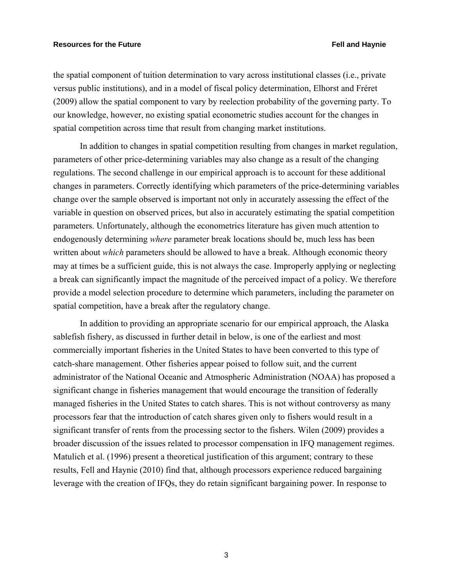the spatial component of tuition determination to vary across institutional classes (i.e., private versus public institutions), and in a model of fiscal policy determination, Elhorst and Fréret (2009) allow the spatial component to vary by reelection probability of the governing party. To our knowledge, however, no existing spatial econometric studies account for the changes in spatial competition across time that result from changing market institutions.

In addition to changes in spatial competition resulting from changes in market regulation, parameters of other price-determining variables may also change as a result of the changing regulations. The second challenge in our empirical approach is to account for these additional changes in parameters. Correctly identifying which parameters of the price-determining variables change over the sample observed is important not only in accurately assessing the effect of the variable in question on observed prices, but also in accurately estimating the spatial competition parameters. Unfortunately, although the econometrics literature has given much attention to endogenously determining *where* parameter break locations should be, much less has been written about *which* parameters should be allowed to have a break. Although economic theory may at times be a sufficient guide, this is not always the case. Improperly applying or neglecting a break can significantly impact the magnitude of the perceived impact of a policy. We therefore provide a model selection procedure to determine which parameters, including the parameter on spatial competition, have a break after the regulatory change.

In addition to providing an appropriate scenario for our empirical approach, the Alaska sablefish fishery, as discussed in further detail in below, is one of the earliest and most commercially important fisheries in the United States to have been converted to this type of catch-share management. Other fisheries appear poised to follow suit, and the current administrator of the National Oceanic and Atmospheric Administration (NOAA) has proposed a significant change in fisheries management that would encourage the transition of federally managed fisheries in the United States to catch shares. This is not without controversy as many processors fear that the introduction of catch shares given only to fishers would result in a significant transfer of rents from the processing sector to the fishers. Wilen (2009) provides a broader discussion of the issues related to processor compensation in IFQ management regimes. Matulich et al. (1996) present a theoretical justification of this argument; contrary to these results, Fell and Haynie (2010) find that, although processors experience reduced bargaining leverage with the creation of IFQs, they do retain significant bargaining power. In response to

3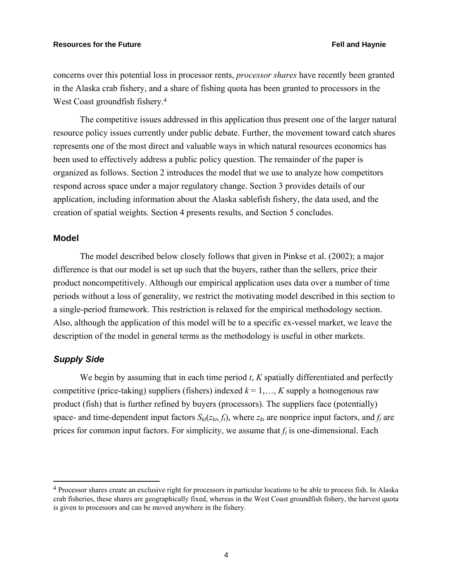concerns over this potential loss in processor rents, *processor shares* have recently been granted in the Alaska crab fishery, and a share of fishing quota has been granted to processors in the West Coast groundfish fishery.4

The competitive issues addressed in this application thus present one of the larger natural resource policy issues currently under public debate. Further, the movement toward catch shares represents one of the most direct and valuable ways in which natural resources economics has been used to effectively address a public policy question. The remainder of the paper is organized as follows. Section 2 introduces the model that we use to analyze how competitors respond across space under a major regulatory change. Section 3 provides details of our application, including information about the Alaska sablefish fishery, the data used, and the creation of spatial weights. Section 4 presents results, and Section 5 concludes.

# **Model**

The model described below closely follows that given in Pinkse et al. (2002); a major difference is that our model is set up such that the buyers, rather than the sellers, price their product noncompetitively. Although our empirical application uses data over a number of time periods without a loss of generality, we restrict the motivating model described in this section to a single-period framework. This restriction is relaxed for the empirical methodology section. Also, although the application of this model will be to a specific ex-vessel market, we leave the description of the model in general terms as the methodology is useful in other markets.

# *Supply Side*

 $\overline{a}$ 

We begin by assuming that in each time period *t*, *K* spatially differentiated and perfectly competitive (price-taking) suppliers (fishers) indexed  $k = 1, ..., K$  supply a homogenous raw product (fish) that is further refined by buyers (processors). The suppliers face (potentially) space- and time-dependent input factors  $S_{kt}(z_{kt}, f_t)$ , where  $z_{kt}$  are nonprice input factors, and  $f_t$  are prices for common input factors. For simplicity, we assume that  $f_t$  is one-dimensional. Each

<sup>4</sup> Processor shares create an exclusive right for processors in particular locations to be able to process fish. In Alaska crab fisheries, these shares are geographically fixed, whereas in the West Coast groundfish fishery, the harvest quota is given to processors and can be moved anywhere in the fishery.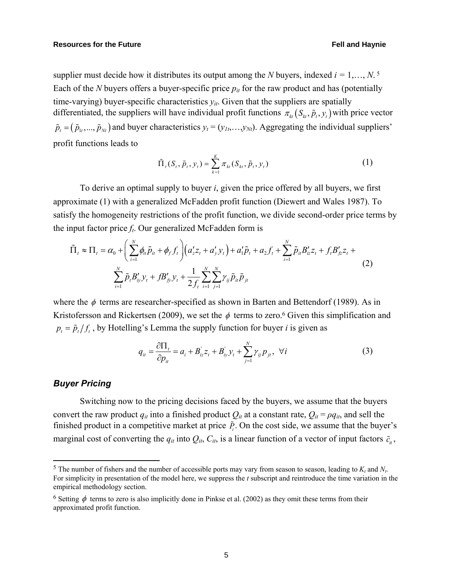supplier must decide how it distributes its output among the *N* buyers, indexed  $i = 1, \ldots, N$ . Each of the *N* buyers offers a buyer-specific price  $p_{it}$  for the raw product and has (potentially time-varying) buyer-specific characteristics  $y_{it}$ . Given that the suppliers are spatially differentiated, the suppliers will have individual profit functions  $\pi_{kt}(S_{kt}, \tilde{p}_t, y_t)$  with price vector  $\tilde{p}_t = (\tilde{p}_{1t}, ..., \tilde{p}_{Nt})$  and buyer characteristics  $y_t = (y_{1t}, ..., y_{Nt})$ . Aggregating the individual suppliers' profit functions leads to

$$
\tilde{\Pi}_t(S_t, \tilde{p}_t, y_t) = \sum_{k=1}^K \pi_{kt}(S_{kt}, \tilde{p}_t, y_t)
$$
\n(1)

To derive an optimal supply to buyer *i*, given the price offered by all buyers, we first approximate (1) with a generalized McFadden profit function (Diewert and Wales 1987). To satisfy the homogeneity restrictions of the profit function, we divide second-order price terms by the input factor price  $f_t$ . Our generalized McFadden form is

$$
\tilde{\Pi}_{t} \approx \Pi_{t} = \alpha_{0} + \left(\sum_{i=1}^{N} \phi_{ii} \tilde{p}_{ii} + \phi_{f} f_{t}\right) \left(a_{z}^{\prime} z_{t} + a_{y}^{\prime} y_{t}\right) + a_{1}^{\prime} \tilde{p}_{t} + a_{2} f_{t} + \sum_{i=1}^{N} \tilde{p}_{ii} B_{iz}^{\prime} z_{t} + f_{t} B_{j}^{\prime} z_{t} + \sum_{i=1}^{N} \tilde{p}_{i} B_{iy}^{\prime} y_{t} + f B_{jj}^{\prime} y_{t} + \frac{1}{2 f_{t}} \sum_{i=1}^{N} \sum_{j=1}^{N} \gamma_{ij} \tilde{p}_{ii} \tilde{p}_{jt}
$$
\n(2)

where the  $\phi$  terms are researcher-specified as shown in Barten and Bettendorf (1989). As in Kristofersson and Rickertsen (2009), we set the  $\phi$  terms to zero.<sup>6</sup> Given this simplification and  $p_t = \tilde{p}_t / f_t$ , by Hotelling's Lemma the supply function for buyer *i* is given as

$$
q_{it} = \frac{\partial \Pi_t}{\partial p_{it}} = a_i + B_{iz} z_t + B_{iy} y_t + \sum_{j=1}^N \gamma_{ij} p_{jt}, \ \forall i
$$
 (3)

# *Buyer Pricing*

 $\overline{a}$ 

Switching now to the pricing decisions faced by the buyers, we assume that the buyers convert the raw product  $q_{it}$  into a finished product  $Q_{it}$  at a constant rate,  $Q_{it} = \rho q_{it}$ , and sell the finished product in a competitive market at price  $\tilde{P}_t$ . On the cost side, we assume that the buyer's marginal cost of converting the  $q_{it}$  into  $Q_{it}$ ,  $C_{it}$ , is a linear function of a vector of input factors  $\tilde{c}_i$ ,

<sup>&</sup>lt;sup>5</sup> The number of fishers and the number of accessible ports may vary from season to season, leading to  $K_t$  and  $N_t$ . For simplicity in presentation of the model here, we suppress the *t* subscript and reintroduce the time variation in the empirical methodology section.

<sup>&</sup>lt;sup>6</sup> Setting  $\phi$  terms to zero is also implicitly done in Pinkse et al. (2002) as they omit these terms from their approximated profit function.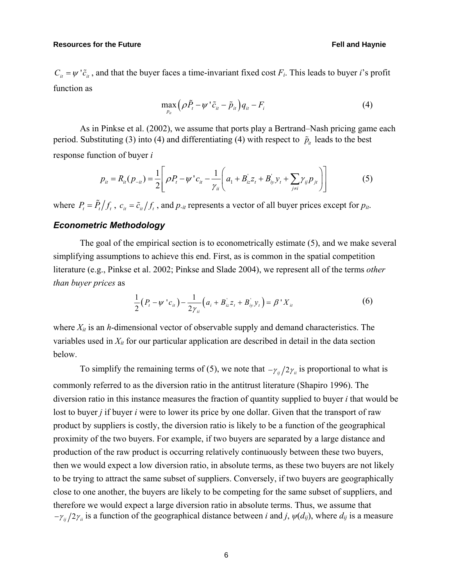$C_{it} = \psi' \tilde{c}_{it}$ , and that the buyer faces a time-invariant fixed cost  $F_i$ . This leads to buyer *i*'s profit function as

$$
\max_{p_{it}} \left( \rho \tilde{P}_t - \psi' \tilde{c}_{it} - \tilde{p}_{it} \right) q_{it} - F_i \tag{4}
$$

As in Pinkse et al. (2002), we assume that ports play a Bertrand–Nash pricing game each period. Substituting (3) into (4) and differentiating (4) with respect to  $\tilde{p}_u$  leads to the best response function of buyer *i*

$$
p_{ii} = R_{ii}(p_{-ii}) = \frac{1}{2} \left[ \rho P_t - \psi' c_{ii} - \frac{1}{\gamma_{ii}} \left( a_1 + B_{iz}^{\dagger} z_t + B_{iy}^{\dagger} y_t + \sum_{j \neq i} \gamma_{ij} p_{ji} \right) \right]
$$
(5)

where  $P_t = \frac{\tilde{P}_t}{f_t}$ ,  $c_{it} = \frac{\tilde{c}_{it}}{f_t}$ , and  $p_{-it}$  represents a vector of all buyer prices except for  $p_{it}$ .

# *Econometric Methodology*

The goal of the empirical section is to econometrically estimate (5), and we make several simplifying assumptions to achieve this end. First, as is common in the spatial competition literature (e.g., Pinkse et al. 2002; Pinkse and Slade 2004), we represent all of the terms *other than buyer prices* as

$$
\frac{1}{2}(P_t - \psi'c_{it}) - \frac{1}{2\gamma_{it}}(a_i + B_{iz}z_t + B_{iy}y_t) = \beta'X_{it}
$$
(6)

where  $X_{it}$  is an *h*-dimensional vector of observable supply and demand characteristics. The variables used in  $X_{it}$  for our particular application are described in detail in the data section below.

To simplify the remaining terms of (5), we note that  $-\gamma_{ij}/2\gamma_{ii}$  is proportional to what is commonly referred to as the diversion ratio in the antitrust literature (Shapiro 1996). The diversion ratio in this instance measures the fraction of quantity supplied to buyer *i* that would be lost to buyer *j* if buyer *i* were to lower its price by one dollar. Given that the transport of raw product by suppliers is costly, the diversion ratio is likely to be a function of the geographical proximity of the two buyers. For example, if two buyers are separated by a large distance and production of the raw product is occurring relatively continuously between these two buyers, then we would expect a low diversion ratio, in absolute terms, as these two buyers are not likely to be trying to attract the same subset of suppliers. Conversely, if two buyers are geographically close to one another, the buyers are likely to be competing for the same subset of suppliers, and therefore we would expect a large diversion ratio in absolute terms. Thus, we assume that  $-\gamma_{ij}/2\gamma_{ii}$  is a function of the geographical distance between *i* and *j*,  $\psi(d_{ij})$ , where  $d_{ij}$  is a measure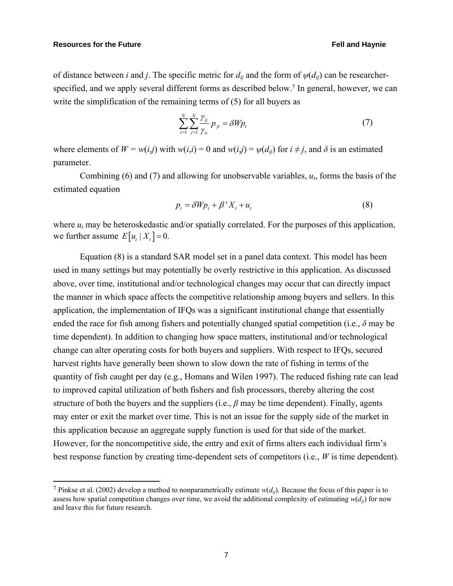# **Resources for the Future Fell and Haynie All and Haynie Resources for the Future Fell and Haynie Resources for the Future All and Haynie Resources for the Future All and Haynie Resources for the Future All and Haynie Reso**

 $\overline{a}$ 

of distance between *i* and *j*. The specific metric for  $d_{ij}$  and the form of  $\psi(d_{ij})$  can be researcherspecified, and we apply several different forms as described below.7 In general, however, we can write the simplification of the remaining terms of (5) for all buyers as

$$
\sum_{i=1}^{N} \sum_{j=1}^{N} \frac{\gamma_{ij}}{\gamma_{ii}} p_{jt} = \delta W p_t \tag{7}
$$

where elements of  $W = w(i,j)$  with  $w(i,j) = 0$  and  $w(i,j) = w(d_{ij})$  for  $i \neq j$ , and  $\delta$  is an estimated parameter.

Combining (6) and (7) and allowing for unobservable variables,  $u_t$ , forms the basis of the estimated equation

$$
p_t = \delta W p_t + \beta' X_t + u_t \tag{8}
$$

where  $u_t$  may be heteroskedastic and/or spatially correlated. For the purposes of this application, we further assume  $E[u_t | X_t] = 0$ .

Equation (8) is a standard SAR model set in a panel data context. This model has been used in many settings but may potentially be overly restrictive in this application. As discussed above, over time, institutional and/or technological changes may occur that can directly impact the manner in which space affects the competitive relationship among buyers and sellers. In this application, the implementation of IFQs was a significant institutional change that essentially ended the race for fish among fishers and potentially changed spatial competition (i.e.,  $\delta$  may be time dependent). In addition to changing how space matters, institutional and/or technological change can alter operating costs for both buyers and suppliers. With respect to IFQs, secured harvest rights have generally been shown to slow down the rate of fishing in terms of the quantity of fish caught per day (e.g., Homans and Wilen 1997). The reduced fishing rate can lead to improved capital utilization of both fishers and fish processors, thereby altering the cost structure of both the buyers and the suppliers (i.e.,  $\beta$  may be time dependent). Finally, agents may enter or exit the market over time. This is not an issue for the supply side of the market in this application because an aggregate supply function is used for that side of the market. However, for the noncompetitive side, the entry and exit of firms alters each individual firm's best response function by creating time-dependent sets of competitors (i.e., *W* is time dependent).

<sup>7</sup> Pinkse et al. (2002) develop a method to nonparametrically estimate *w*(*dij*). Because the focus of this paper is to assess how spatial competition changes over time, we avoid the additional complexity of estimating *w*(*dij*) for now and leave this for future research.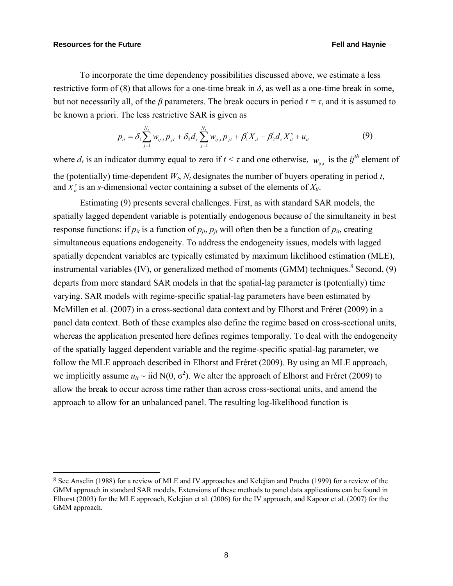### **Resources for the Future Fell and Haynie All and Haynie Resources for the Future Fell and Haynie Resources for the Future All and Haynie Resources for the Future All and Haynie Resources for the Future All and Haynie Reso**

 $\overline{a}$ 

To incorporate the time dependency possibilities discussed above, we estimate a less restrictive form of (8) that allows for a one-time break in  $\delta$ , as well as a one-time break in some, but not necessarily all, of the *β* parameters. The break occurs in period  $t = \tau$ , and it is assumed to be known a priori. The less restrictive SAR is given as

$$
p_{it} = \delta_1 \sum_{j=1}^{N_t} w_{ij,t} p_{jt} + \delta_2 d_{\tau} \sum_{j=1}^{N_t} w_{ij,t} p_{jt} + \beta_1 X_{it} + \beta_2 d_{\tau} X_{it}^s + u_{it}
$$
(9)

where  $d_t$  is an indicator dummy equal to zero if  $t < \tau$  and one otherwise,  $w_{ij,t}$  is the  $ij^{th}$  element of the (potentially) time-dependent  $W_t$ ,  $N_t$  designates the number of buyers operating in period  $t$ , and  $X_i^s$  is an *s*-dimensional vector containing a subset of the elements of  $X_{it}$ .

Estimating (9) presents several challenges. First, as with standard SAR models, the spatially lagged dependent variable is potentially endogenous because of the simultaneity in best response functions: if  $p_{it}$  is a function of  $p_{it}$ ,  $p_{it}$  will often then be a function of  $p_{it}$ , creating simultaneous equations endogeneity. To address the endogeneity issues, models with lagged spatially dependent variables are typically estimated by maximum likelihood estimation (MLE), instrumental variables  $(IV)$ , or generalized method of moments  $(GMM)$  techniques.<sup>8</sup> Second,  $(9)$ departs from more standard SAR models in that the spatial-lag parameter is (potentially) time varying. SAR models with regime-specific spatial-lag parameters have been estimated by McMillen et al. (2007) in a cross-sectional data context and by Elhorst and Fréret (2009) in a panel data context. Both of these examples also define the regime based on cross-sectional units, whereas the application presented here defines regimes temporally. To deal with the endogeneity of the spatially lagged dependent variable and the regime-specific spatial-lag parameter, we follow the MLE approach described in Elhorst and Fréret (2009). By using an MLE approach, we implicitly assume  $u_{it} \sim$  iid N(0,  $\sigma^2$ ). We alter the approach of Elhorst and Fréret (2009) to allow the break to occur across time rather than across cross-sectional units, and amend the approach to allow for an unbalanced panel. The resulting log-likelihood function is

<sup>8</sup> See Anselin (1988) for a review of MLE and IV approaches and Kelejian and Prucha (1999) for a review of the GMM approach in standard SAR models. Extensions of these methods to panel data applications can be found in Elhorst (2003) for the MLE approach, Kelejian et al. (2006) for the IV approach, and Kapoor et al. (2007) for the GMM approach.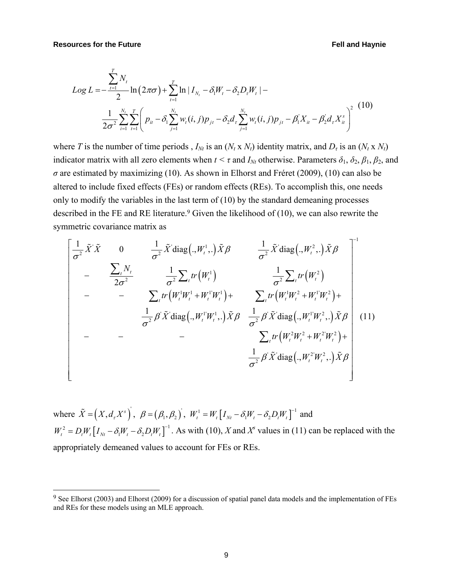1

$$
Log L = -\frac{\sum_{t=1}^{T} N_t}{2} ln (2\pi\sigma) + \sum_{t=1}^{T} ln |I_{N_t} - \delta_1 W_t - \delta_2 D_t W_t| - \frac{1}{2\sigma^2} \sum_{i=1}^{N_t} \sum_{t=1}^{T} \left( p_{it} - \delta_1 \sum_{j=1}^{N_t} w_t(i,j) p_{jt} - \delta_2 d_t \sum_{j=1}^{N_t} w_t(i,j) p_{jt} - \beta_1 X_{it} - \beta_2 d_t X_{it}^s \right)^2
$$
(10)

where *T* is the number of time periods ,  $I_{Nt}$  is an  $(N_t \times N_t)$  identity matrix, and  $D_t$  is an  $(N_t \times N_t)$ indicator matrix with all zero elements when  $t < \tau$  and  $I_{Nt}$  otherwise. Parameters  $\delta_1$ ,  $\delta_2$ ,  $\beta_1$ ,  $\beta_2$ , and  $\sigma$  are estimated by maximizing (10). As shown in Elhorst and Fréret (2009), (10) can also be altered to include fixed effects (FEs) or random effects (REs). To accomplish this, one needs only to modify the variables in the last term of (10) by the standard demeaning processes described in the FE and RE literature.<sup>9</sup> Given the likelihood of (10), we can also rewrite the symmetric covariance matrix as

$$
\begin{bmatrix}\n\frac{1}{\sigma^{2}}\tilde{X}^{\dagger}\tilde{X} & 0 & \frac{1}{\sigma^{2}}\tilde{X}^{\dagger}\text{diag}(.,W_{t}^{1},.)\tilde{X}\beta & \frac{1}{\sigma^{2}}\tilde{X}^{\dagger}\text{diag}(.,W_{t}^{2},.)\tilde{X}\beta \\
-\frac{\sum_{t}N_{t}}{2\sigma^{2}} & \frac{1}{\sigma^{2}}\sum_{t}tr(W_{t}^{1}) & \frac{1}{\sigma^{2}}\sum_{t}tr(W_{t}^{2}) \\
-\frac{\sum_{t}tr(W_{t}^{1}W_{t}^{1}+W_{t}^{1}W_{t}^{1})}{\sigma^{2}} + \frac{\sum_{t}tr(W_{t}^{1}W_{t}^{2}+W_{t}^{1}W_{t}^{2})}{\sigma^{2}} + \frac{\sum_{t}tr(W_{t}^{1}W_{t}^{2}+W_{t}^{1}W_{t}^{2})}{\sigma^{2}}\tilde{X}^{\dagger}\text{diag}(.,W_{t}^{1}W_{t}^{2},.)\tilde{X}\beta \\
-\frac{\sum_{t}tr(W_{t}^{2}W_{t}^{2}+W_{t}^{2}W_{t}^{2})}{\sigma^{2}} + \frac{\sum_{t}tr(W_{t}^{2}W_{t}^{2}+W_{t}^{2}W_{t}^{2})}{\sigma^{2}}\tilde{X}^{\dagger}\text{diag}(.,W_{t}^{1}W_{t}^{2},.)\tilde{X}\beta\n\end{bmatrix}
$$
\n(11)

where  $\tilde{X} = (X, d_{\tau} X^s)$ ,  $\beta = (\beta_1, \beta_2)$ ,  $W_t^1 = W_t [I_{Nt} - \delta_1 W_t - \delta_2 D_t W_t]$ <sup>-1</sup> and  $W_t^2 = D_t W_t [I_{N_t} - \delta_1 W_t - \delta_2 D_t W_t]^{-1}$ . As with (10), *X* and *X*<sup>8</sup> values in (11) can be replaced with the appropriately demeaned values to account for FEs or REs.

<sup>9</sup> See Elhorst (2003) and Elhorst (2009) for a discussion of spatial panel data models and the implementation of FEs and REs for these models using an MLE approach.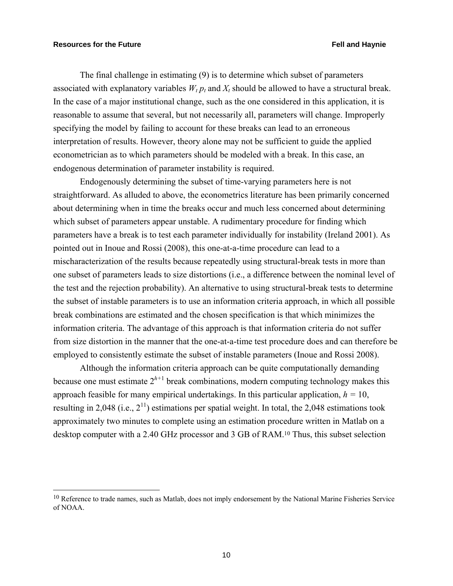# **Resources for the Future Fell and Haynie All and Haynie Resources for the Future Fell and Haynie Resources for the Future All and Haynie Resources for the Future All and Haynie Resources for the Future All and Haynie Reso**

 $\overline{a}$ 

The final challenge in estimating (9) is to determine which subset of parameters associated with explanatory variables  $W_t p_t$  and  $X_t$  should be allowed to have a structural break. In the case of a major institutional change, such as the one considered in this application, it is reasonable to assume that several, but not necessarily all, parameters will change. Improperly specifying the model by failing to account for these breaks can lead to an erroneous interpretation of results. However, theory alone may not be sufficient to guide the applied econometrician as to which parameters should be modeled with a break. In this case, an endogenous determination of parameter instability is required.

Endogenously determining the subset of time-varying parameters here is not straightforward. As alluded to above, the econometrics literature has been primarily concerned about determining when in time the breaks occur and much less concerned about determining which subset of parameters appear unstable. A rudimentary procedure for finding which parameters have a break is to test each parameter individually for instability (Ireland 2001). As pointed out in Inoue and Rossi (2008), this one-at-a-time procedure can lead to a mischaracterization of the results because repeatedly using structural-break tests in more than one subset of parameters leads to size distortions (i.e., a difference between the nominal level of the test and the rejection probability). An alternative to using structural-break tests to determine the subset of instable parameters is to use an information criteria approach, in which all possible break combinations are estimated and the chosen specification is that which minimizes the information criteria. The advantage of this approach is that information criteria do not suffer from size distortion in the manner that the one-at-a-time test procedure does and can therefore be employed to consistently estimate the subset of instable parameters (Inoue and Rossi 2008).

Although the information criteria approach can be quite computationally demanding because one must estimate  $2^{h+1}$  break combinations, modern computing technology makes this approach feasible for many empirical undertakings. In this particular application,  $h = 10$ , resulting in 2,048 (i.e.,  $2^{11}$ ) estimations per spatial weight. In total, the 2,048 estimations took approximately two minutes to complete using an estimation procedure written in Matlab on a desktop computer with a 2.40 GHz processor and 3 GB of RAM.10 Thus, this subset selection

<sup>&</sup>lt;sup>10</sup> Reference to trade names, such as Matlab, does not imply endorsement by the National Marine Fisheries Service of NOAA.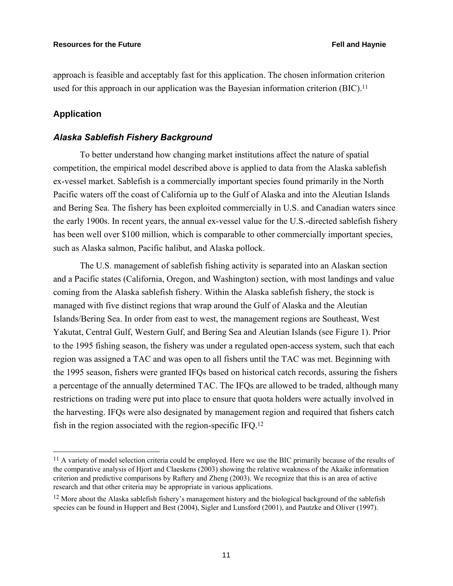approach is feasible and acceptably fast for this application. The chosen information criterion used for this approach in our application was the Bayesian information criterion (BIC).<sup>11</sup>

# **Application**

 $\overline{a}$ 

# *Alaska Sablefish Fishery Background*

To better understand how changing market institutions affect the nature of spatial competition, the empirical model described above is applied to data from the Alaska sablefish ex-vessel market. Sablefish is a commercially important species found primarily in the North Pacific waters off the coast of California up to the Gulf of Alaska and into the Aleutian Islands and Bering Sea. The fishery has been exploited commercially in U.S. and Canadian waters since the early 1900s. In recent years, the annual ex-vessel value for the U.S.-directed sablefish fishery has been well over \$100 million, which is comparable to other commercially important species, such as Alaska salmon, Pacific halibut, and Alaska pollock.

The U.S. management of sablefish fishing activity is separated into an Alaskan section and a Pacific states (California, Oregon, and Washington) section, with most landings and value coming from the Alaska sablefish fishery. Within the Alaska sablefish fishery, the stock is managed with five distinct regions that wrap around the Gulf of Alaska and the Aleutian Islands/Bering Sea. In order from east to west, the management regions are Southeast, West Yakutat, Central Gulf, Western Gulf, and Bering Sea and Aleutian Islands (see Figure 1). Prior to the 1995 fishing season, the fishery was under a regulated open-access system, such that each region was assigned a TAC and was open to all fishers until the TAC was met. Beginning with the 1995 season, fishers were granted IFQs based on historical catch records, assuring the fishers a percentage of the annually determined TAC. The IFQs are allowed to be traded, although many restrictions on trading were put into place to ensure that quota holders were actually involved in the harvesting. IFQs were also designated by management region and required that fishers catch fish in the region associated with the region-specific IFQ.12

<sup>&</sup>lt;sup>11</sup> A variety of model selection criteria could be employed. Here we use the BIC primarily because of the results of the comparative analysis of Hjort and Claeskens (2003) showing the relative weakness of the Akaike information criterion and predictive comparisons by Raftery and Zheng (2003). We recognize that this is an area of active research and that other criteria may be appropriate in various applications.

<sup>&</sup>lt;sup>12</sup> More about the Alaska sablefish fishery's management history and the biological background of the sablefish species can be found in Huppert and Best (2004), Sigler and Lunsford (2001), and Pautzke and Oliver (1997).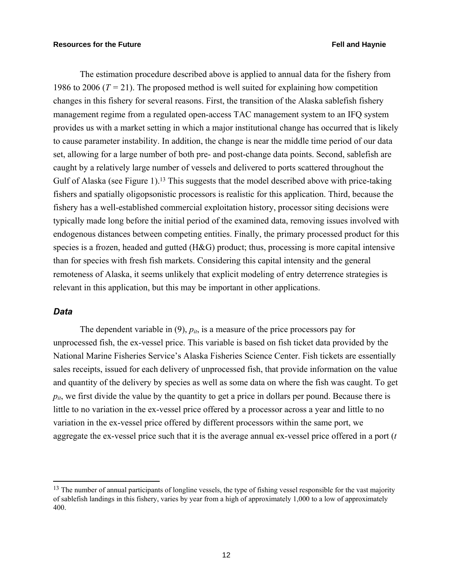The estimation procedure described above is applied to annual data for the fishery from 1986 to 2006 ( $T = 21$ ). The proposed method is well suited for explaining how competition changes in this fishery for several reasons. First, the transition of the Alaska sablefish fishery management regime from a regulated open-access TAC management system to an IFQ system provides us with a market setting in which a major institutional change has occurred that is likely to cause parameter instability. In addition, the change is near the middle time period of our data set, allowing for a large number of both pre- and post-change data points. Second, sablefish are caught by a relatively large number of vessels and delivered to ports scattered throughout the Gulf of Alaska (see Figure 1).<sup>13</sup> This suggests that the model described above with price-taking fishers and spatially oligopsonistic processors is realistic for this application. Third, because the fishery has a well-established commercial exploitation history, processor siting decisions were typically made long before the initial period of the examined data, removing issues involved with endogenous distances between competing entities. Finally, the primary processed product for this species is a frozen, headed and gutted (H&G) product; thus, processing is more capital intensive than for species with fresh fish markets. Considering this capital intensity and the general remoteness of Alaska, it seems unlikely that explicit modeling of entry deterrence strategies is relevant in this application, but this may be important in other applications.

# *Data*

 $\overline{a}$ 

The dependent variable in  $(9)$ ,  $p_{it}$ , is a measure of the price processors pay for unprocessed fish, the ex-vessel price. This variable is based on fish ticket data provided by the National Marine Fisheries Service's Alaska Fisheries Science Center. Fish tickets are essentially sales receipts, issued for each delivery of unprocessed fish, that provide information on the value and quantity of the delivery by species as well as some data on where the fish was caught. To get  $p_{it}$ , we first divide the value by the quantity to get a price in dollars per pound. Because there is little to no variation in the ex-vessel price offered by a processor across a year and little to no variation in the ex-vessel price offered by different processors within the same port, we aggregate the ex-vessel price such that it is the average annual ex-vessel price offered in a port (*t*

<sup>&</sup>lt;sup>13</sup> The number of annual participants of longline vessels, the type of fishing vessel responsible for the vast majority of sablefish landings in this fishery, varies by year from a high of approximately 1,000 to a low of approximately 400.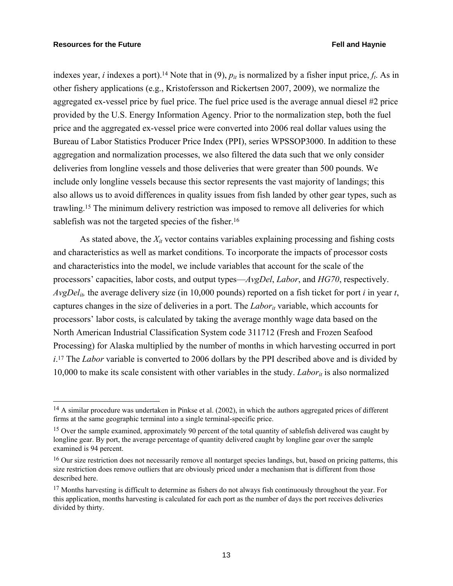$\overline{a}$ 

indexes year, *i* indexes a port).<sup>14</sup> Note that in (9),  $p_{it}$  is normalized by a fisher input price,  $f_t$ . As in other fishery applications (e.g., Kristofersson and Rickertsen 2007, 2009), we normalize the aggregated ex-vessel price by fuel price. The fuel price used is the average annual diesel #2 price provided by the U.S. Energy Information Agency. Prior to the normalization step, both the fuel price and the aggregated ex-vessel price were converted into 2006 real dollar values using the Bureau of Labor Statistics Producer Price Index (PPI), series WPSSOP3000. In addition to these aggregation and normalization processes, we also filtered the data such that we only consider deliveries from longline vessels and those deliveries that were greater than 500 pounds. We include only longline vessels because this sector represents the vast majority of landings; this also allows us to avoid differences in quality issues from fish landed by other gear types, such as trawling.15 The minimum delivery restriction was imposed to remove all deliveries for which sablefish was not the targeted species of the fisher.<sup>16</sup>

As stated above, the  $X_{it}$  vector contains variables explaining processing and fishing costs and characteristics as well as market conditions. To incorporate the impacts of processor costs and characteristics into the model, we include variables that account for the scale of the processors' capacities, labor costs, and output types—*AvgDel*, *Labor*, and *HG70*, respectively.  $AvgDel_{it}$ , the average delivery size (in 10,000 pounds) reported on a fish ticket for port *i* in year *t*, captures changes in the size of deliveries in a port. The *Labor<sub>it</sub>* variable, which accounts for processors' labor costs, is calculated by taking the average monthly wage data based on the North American Industrial Classification System code 311712 (Fresh and Frozen Seafood Processing) for Alaska multiplied by the number of months in which harvesting occurred in port *i*. 17 The *Labor* variable is converted to 2006 dollars by the PPI described above and is divided by 10,000 to make its scale consistent with other variables in the study. *Labor<sub>it</sub>* is also normalized

<sup>&</sup>lt;sup>14</sup> A similar procedure was undertaken in Pinkse et al. (2002), in which the authors aggregated prices of different firms at the same geographic terminal into a single terminal-specific price.

<sup>&</sup>lt;sup>15</sup> Over the sample examined, approximately 90 percent of the total quantity of sablefish delivered was caught by longline gear. By port, the average percentage of quantity delivered caught by longline gear over the sample examined is 94 percent.

<sup>&</sup>lt;sup>16</sup> Our size restriction does not necessarily remove all nontarget species landings, but, based on pricing patterns, this size restriction does remove outliers that are obviously priced under a mechanism that is different from those described here.

<sup>&</sup>lt;sup>17</sup> Months harvesting is difficult to determine as fishers do not always fish continuously throughout the year. For this application, months harvesting is calculated for each port as the number of days the port receives deliveries divided by thirty.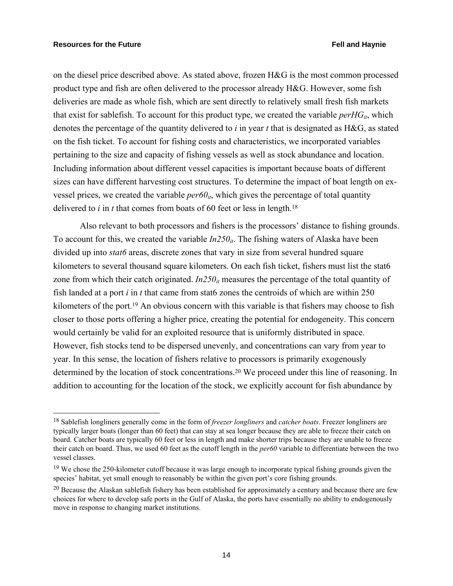<u>.</u>

on the diesel price described above. As stated above, frozen H&G is the most common processed product type and fish are often delivered to the processor already H&G. However, some fish deliveries are made as whole fish, which are sent directly to relatively small fresh fish markets that exist for sablefish. To account for this product type, we created the variable  $perHG_{it}$ , which denotes the percentage of the quantity delivered to *i* in year *t* that is designated as H&G, as stated on the fish ticket. To account for fishing costs and characteristics, we incorporated variables pertaining to the size and capacity of fishing vessels as well as stock abundance and location. Including information about different vessel capacities is important because boats of different sizes can have different harvesting cost structures. To determine the impact of boat length on exvessel prices, we created the variable  $per60<sub>it</sub>$ , which gives the percentage of total quantity delivered to *i* in *t* that comes from boats of 60 feet or less in length.18

Also relevant to both processors and fishers is the processors' distance to fishing grounds. To account for this, we created the variable  $In250<sub>it</sub>$ . The fishing waters of Alaska have been divided up into *stat6* areas, discrete zones that vary in size from several hundred square kilometers to several thousand square kilometers. On each fish ticket, fishers must list the stat6 zone from which their catch originated.  $In250<sub>it</sub>$  measures the percentage of the total quantity of fish landed at a port *i* in *t* that came from stat6 zones the centroids of which are within 250 kilometers of the port.19 An obvious concern with this variable is that fishers may choose to fish closer to those ports offering a higher price, creating the potential for endogeneity. This concern would certainly be valid for an exploited resource that is uniformly distributed in space. However, fish stocks tend to be dispersed unevenly, and concentrations can vary from year to year. In this sense, the location of fishers relative to processors is primarily exogenously determined by the location of stock concentrations.20 We proceed under this line of reasoning. In addition to accounting for the location of the stock, we explicitly account for fish abundance by

<sup>18</sup> Sablefish longliners generally come in the form of *freezer longliners* and *catcher boats*. Freezer longliners are typically larger boats (longer than 60 feet) that can stay at sea longer because they are able to freeze their catch on board. Catcher boats are typically 60 feet or less in length and make shorter trips because they are unable to freeze their catch on board. Thus, we used 60 feet as the cutoff length in the *per60* variable to differentiate between the two vessel classes.

<sup>&</sup>lt;sup>19</sup> We chose the 250-kilometer cutoff because it was large enough to incorporate typical fishing grounds given the species' habitat, yet small enough to reasonably be within the given port's core fishing grounds.

 $20$  Because the Alaskan sablefish fishery has been established for approximately a century and because there are few choices for where to develop safe ports in the Gulf of Alaska, the ports have essentially no ability to endogenously move in response to changing market institutions.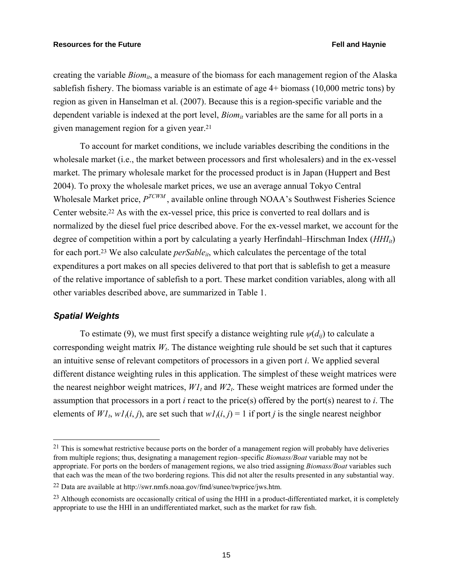# **Resources for the Future Fell and Haynie All and Haynie Resources for the Future Fell and Haynie Resources for the Future All and Haynie Resources for the Future All and Haynie Resources for the Future All and Haynie Reso**

creating the variable *Biomit*, a measure of the biomass for each management region of the Alaska sablefish fishery. The biomass variable is an estimate of age 4+ biomass (10,000 metric tons) by region as given in Hanselman et al. (2007). Because this is a region-specific variable and the dependent variable is indexed at the port level, *Biom<sub>it</sub>* variables are the same for all ports in a given management region for a given year.21

To account for market conditions, we include variables describing the conditions in the wholesale market (i.e., the market between processors and first wholesalers) and in the ex-vessel market. The primary wholesale market for the processed product is in Japan (Huppert and Best 2004). To proxy the wholesale market prices, we use an average annual Tokyo Central Wholesale Market price,  $P^{TCWM}$ , available online through NOAA's Southwest Fisheries Science Center website.22 As with the ex-vessel price, this price is converted to real dollars and is normalized by the diesel fuel price described above. For the ex-vessel market, we account for the degree of competition within a port by calculating a yearly Herfindahl–Hirschman Index (*HHIit*) for each port.<sup>23</sup> We also calculate *perSable<sub>it*</sub>, which calculates the percentage of the total expenditures a port makes on all species delivered to that port that is sablefish to get a measure of the relative importance of sablefish to a port. These market condition variables, along with all other variables described above, are summarized in Table 1.

# *Spatial Weights*

 $\overline{a}$ 

To estimate (9), we must first specify a distance weighting rule  $\psi(d_{ii})$  to calculate a corresponding weight matrix  $W_t$ . The distance weighting rule should be set such that it captures an intuitive sense of relevant competitors of processors in a given port *i*. We applied several different distance weighting rules in this application. The simplest of these weight matrices were the nearest neighbor weight matrices,  $W_l$  and  $W_2$ . These weight matrices are formed under the assumption that processors in a port *i* react to the price(s) offered by the port(s) nearest to *i*. The elements of  $W_1$ ,  $W_1$ (*i*, *j*), are set such that  $W_1$ (*i*, *j*) = 1 if port *j* is the single nearest neighbor

<sup>&</sup>lt;sup>21</sup> This is somewhat restrictive because ports on the border of a management region will probably have deliveries from multiple regions; thus, designating a management region–specific *Biomass/Boat* variable may not be appropriate. For ports on the borders of management regions, we also tried assigning *Biomass/Boat* variables such that each was the mean of the two bordering regions. This did not alter the results presented in any substantial way.

<sup>22</sup> Data are available at http://swr.nmfs.noaa.gov/fmd/sunee/twprice/jws.htm.

<sup>&</sup>lt;sup>23</sup> Although economists are occasionally critical of using the HHI in a product-differentiated market, it is completely appropriate to use the HHI in an undifferentiated market, such as the market for raw fish.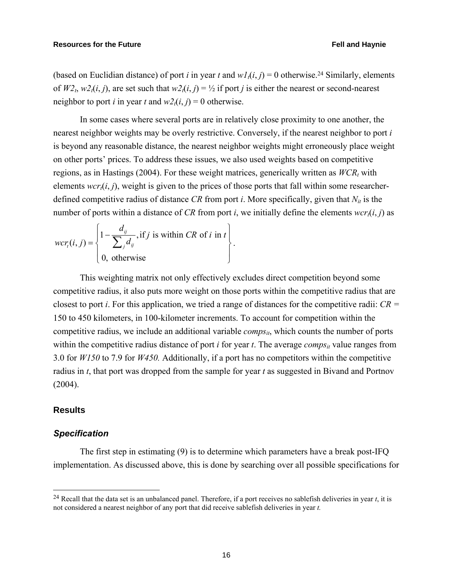(based on Euclidian distance) of port *i* in year *t* and  $wI<sub>i</sub>(i, j) = 0$  otherwise.<sup>24</sup> Similarly, elements of  $W_2$ ,  $W_2$ ,  $(i, j)$ , are set such that  $W_2$ ,  $(i, j) = \frac{1}{2}$  if port *j* is either the nearest or second-nearest neighbor to port *i* in year *t* and  $w_1(i, j) = 0$  otherwise.

In some cases where several ports are in relatively close proximity to one another, the nearest neighbor weights may be overly restrictive. Conversely, if the nearest neighbor to port *i* is beyond any reasonable distance, the nearest neighbor weights might erroneously place weight on other ports' prices. To address these issues, we also used weights based on competitive regions, as in Hastings (2004). For these weight matrices, generically written as  $WCR_t$  with elements  $\text{wcr}_t(i, j)$ , weight is given to the prices of those ports that fall within some researcherdefined competitive radius of distance *CR* from port *i*. More specifically, given that  $N_{it}$  is the number of ports within a distance of *CR* from port *i*, we initially define the elements  $wcr_i(i, j)$  as

$$
wcr_i(i, j) = \begin{cases} 1 - \frac{d_{ij}}{\sum_j d_{ij}}, & \text{if } j \text{ is within } CR \text{ of } i \text{ in } t \\ 0, & \text{otherwise} \end{cases}.
$$

This weighting matrix not only effectively excludes direct competition beyond some competitive radius, it also puts more weight on those ports within the competitive radius that are closest to port *i*. For this application, we tried a range of distances for the competitive radii: *CR =* 150 to 450 kilometers, in 100-kilometer increments. To account for competition within the competitive radius, we include an additional variable *comps<sub>it</sub>*, which counts the number of ports within the competitive radius distance of port  $i$  for year  $t$ . The average  $\mathit{comps}_{it}$  value ranges from 3.0 for *W150* to 7.9 for *W450.* Additionally, if a port has no competitors within the competitive radius in *t*, that port was dropped from the sample for year *t* as suggested in Bivand and Portnov (2004).

# **Results**

 $\overline{a}$ 

# *Specification*

The first step in estimating (9) is to determine which parameters have a break post-IFQ implementation. As discussed above, this is done by searching over all possible specifications for

<sup>24</sup> Recall that the data set is an unbalanced panel. Therefore, if a port receives no sablefish deliveries in year *t*, it is not considered a nearest neighbor of any port that did receive sablefish deliveries in year *t.*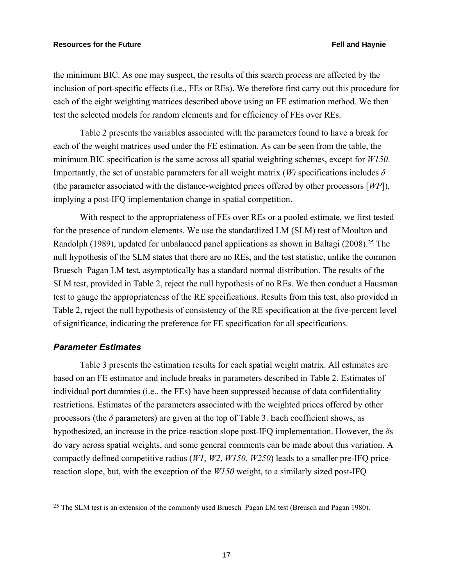the minimum BIC. As one may suspect, the results of this search process are affected by the inclusion of port-specific effects (i.e., FEs or REs). We therefore first carry out this procedure for each of the eight weighting matrices described above using an FE estimation method. We then test the selected models for random elements and for efficiency of FEs over REs.

Table 2 presents the variables associated with the parameters found to have a break for each of the weight matrices used under the FE estimation. As can be seen from the table, the minimum BIC specification is the same across all spatial weighting schemes, except for *W150*. Importantly, the set of unstable parameters for all weight matrix  $(W)$  specifications includes  $\delta$ (the parameter associated with the distance-weighted prices offered by other processors [*WP*]), implying a post-IFQ implementation change in spatial competition.

With respect to the appropriateness of FEs over REs or a pooled estimate, we first tested for the presence of random elements. We use the standardized LM (SLM) test of Moulton and Randolph (1989), updated for unbalanced panel applications as shown in Baltagi (2008).25 The null hypothesis of the SLM states that there are no REs, and the test statistic, unlike the common Bruesch–Pagan LM test, asymptotically has a standard normal distribution. The results of the SLM test, provided in Table 2, reject the null hypothesis of no REs. We then conduct a Hausman test to gauge the appropriateness of the RE specifications. Results from this test, also provided in Table 2, reject the null hypothesis of consistency of the RE specification at the five-percent level of significance, indicating the preference for FE specification for all specifications.

# *Parameter Estimates*

1

Table 3 presents the estimation results for each spatial weight matrix. All estimates are based on an FE estimator and include breaks in parameters described in Table 2. Estimates of individual port dummies (i.e., the FEs) have been suppressed because of data confidentiality restrictions. Estimates of the parameters associated with the weighted prices offered by other processors (the  $\delta$  parameters) are given at the top of Table 3. Each coefficient shows, as hypothesized, an increase in the price-reaction slope post-IFQ implementation. However, the *δ*s do vary across spatial weights, and some general comments can be made about this variation. A compactly defined competitive radius (*W1*, *W2*, *W150*, *W250*) leads to a smaller pre-IFQ pricereaction slope, but, with the exception of the *W150* weight, to a similarly sized post-IFQ

<sup>&</sup>lt;sup>25</sup> The SLM test is an extension of the commonly used Bruesch–Pagan LM test (Breusch and Pagan 1980).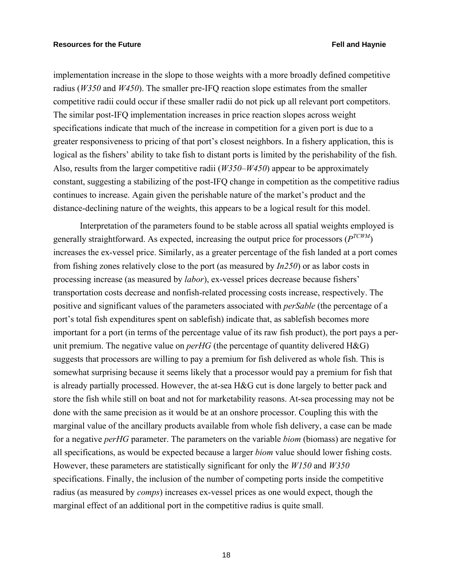implementation increase in the slope to those weights with a more broadly defined competitive radius (*W350* and *W450*). The smaller pre-IFQ reaction slope estimates from the smaller competitive radii could occur if these smaller radii do not pick up all relevant port competitors. The similar post-IFQ implementation increases in price reaction slopes across weight specifications indicate that much of the increase in competition for a given port is due to a greater responsiveness to pricing of that port's closest neighbors. In a fishery application, this is logical as the fishers' ability to take fish to distant ports is limited by the perishability of the fish. Also, results from the larger competitive radii (*W350–W450*) appear to be approximately constant, suggesting a stabilizing of the post-IFQ change in competition as the competitive radius continues to increase. Again given the perishable nature of the market's product and the distance-declining nature of the weights, this appears to be a logical result for this model.

Interpretation of the parameters found to be stable across all spatial weights employed is generally straightforward. As expected, increasing the output price for processors  $(P^{TCHM})$ increases the ex-vessel price. Similarly, as a greater percentage of the fish landed at a port comes from fishing zones relatively close to the port (as measured by *In250*) or as labor costs in processing increase (as measured by *labor*), ex-vessel prices decrease because fishers' transportation costs decrease and nonfish-related processing costs increase, respectively. The positive and significant values of the parameters associated with *perSable* (the percentage of a port's total fish expenditures spent on sablefish) indicate that, as sablefish becomes more important for a port (in terms of the percentage value of its raw fish product), the port pays a perunit premium. The negative value on *perHG* (the percentage of quantity delivered H&G) suggests that processors are willing to pay a premium for fish delivered as whole fish. This is somewhat surprising because it seems likely that a processor would pay a premium for fish that is already partially processed. However, the at-sea H&G cut is done largely to better pack and store the fish while still on boat and not for marketability reasons. At-sea processing may not be done with the same precision as it would be at an onshore processor. Coupling this with the marginal value of the ancillary products available from whole fish delivery, a case can be made for a negative *perHG* parameter. The parameters on the variable *biom* (biomass) are negative for all specifications, as would be expected because a larger *biom* value should lower fishing costs. However, these parameters are statistically significant for only the *W150* and *W350* specifications. Finally, the inclusion of the number of competing ports inside the competitive radius (as measured by *comps*) increases ex-vessel prices as one would expect, though the marginal effect of an additional port in the competitive radius is quite small.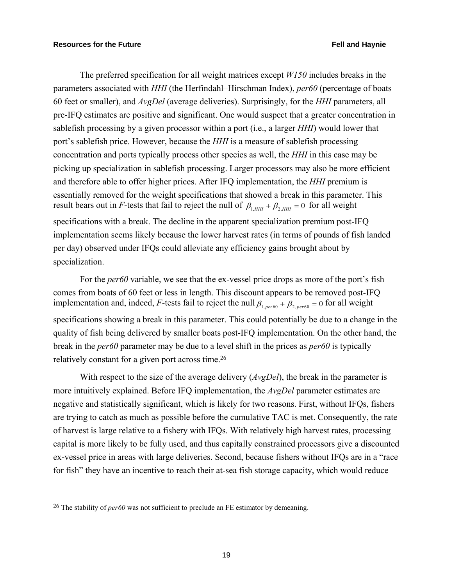The preferred specification for all weight matrices except *W150* includes breaks in the parameters associated with *HHI* (the Herfindahl–Hirschman Index), *per60* (percentage of boats 60 feet or smaller), and *AvgDel* (average deliveries). Surprisingly, for the *HHI* parameters, all pre-IFQ estimates are positive and significant. One would suspect that a greater concentration in sablefish processing by a given processor within a port (i.e., a larger *HHI*) would lower that port's sablefish price. However, because the *HHI* is a measure of sablefish processing concentration and ports typically process other species as well, the *HHI* in this case may be picking up specialization in sablefish processing. Larger processors may also be more efficient and therefore able to offer higher prices. After IFQ implementation, the *HHI* premium is essentially removed for the weight specifications that showed a break in this parameter. This result bears out in *F*-tests that fail to reject the null of  $\beta_{1, HHI} + \beta_{2, HHI} = 0$  for all weight

specifications with a break. The decline in the apparent specialization premium post-IFQ implementation seems likely because the lower harvest rates (in terms of pounds of fish landed per day) observed under IFQs could alleviate any efficiency gains brought about by specialization.

For the *per60* variable, we see that the ex-vessel price drops as more of the port's fish comes from boats of 60 feet or less in length. This discount appears to be removed post-IFQ implementation and, indeed, *F*-tests fail to reject the null  $\beta_{1,per60} + \beta_{2,per60} = 0$  for all weight specifications showing a break in this parameter. This could potentially be due to a change in the quality of fish being delivered by smaller boats post-IFQ implementation. On the other hand, the break in the *per60* parameter may be due to a level shift in the prices as *per60* is typically relatively constant for a given port across time.26

With respect to the size of the average delivery (*AvgDel*), the break in the parameter is more intuitively explained. Before IFQ implementation, the *AvgDel* parameter estimates are negative and statistically significant, which is likely for two reasons. First, without IFQs, fishers are trying to catch as much as possible before the cumulative TAC is met. Consequently, the rate of harvest is large relative to a fishery with IFQs. With relatively high harvest rates, processing capital is more likely to be fully used, and thus capitally constrained processors give a discounted ex-vessel price in areas with large deliveries. Second, because fishers without IFQs are in a "race for fish" they have an incentive to reach their at-sea fish storage capacity, which would reduce

1

<sup>26</sup> The stability of *per60* was not sufficient to preclude an FE estimator by demeaning.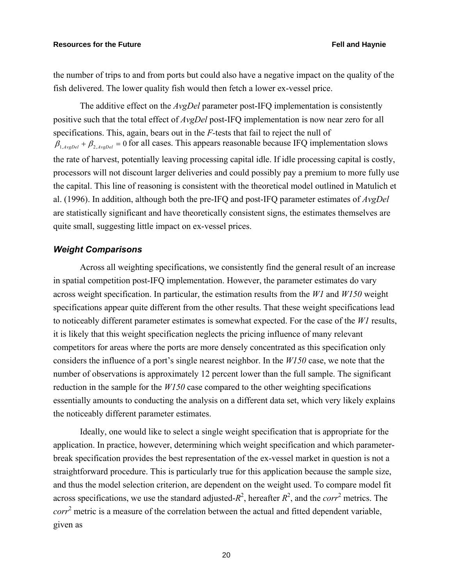the number of trips to and from ports but could also have a negative impact on the quality of the fish delivered. The lower quality fish would then fetch a lower ex-vessel price.

The additive effect on the *AvgDel* parameter post-IFQ implementation is consistently positive such that the total effect of *AvgDel* post-IFQ implementation is now near zero for all specifications. This, again, bears out in the *F-*tests that fail to reject the null of  $\beta_{1, \text{AvgDel}} + \beta_{2, \text{AvgDel}} = 0$  for all cases. This appears reasonable because IFQ implementation slows the rate of harvest, potentially leaving processing capital idle. If idle processing capital is costly, processors will not discount larger deliveries and could possibly pay a premium to more fully use the capital. This line of reasoning is consistent with the theoretical model outlined in Matulich et al. (1996). In addition, although both the pre-IFQ and post-IFQ parameter estimates of *AvgDel* are statistically significant and have theoretically consistent signs, the estimates themselves are quite small, suggesting little impact on ex-vessel prices.

# *Weight Comparisons*

Across all weighting specifications, we consistently find the general result of an increase in spatial competition post-IFQ implementation. However, the parameter estimates do vary across weight specification. In particular, the estimation results from the *W1* and *W150* weight specifications appear quite different from the other results. That these weight specifications lead to noticeably different parameter estimates is somewhat expected. For the case of the *W1* results, it is likely that this weight specification neglects the pricing influence of many relevant competitors for areas where the ports are more densely concentrated as this specification only considers the influence of a port's single nearest neighbor. In the *W150* case, we note that the number of observations is approximately 12 percent lower than the full sample. The significant reduction in the sample for the *W150* case compared to the other weighting specifications essentially amounts to conducting the analysis on a different data set, which very likely explains the noticeably different parameter estimates.

Ideally, one would like to select a single weight specification that is appropriate for the application. In practice, however, determining which weight specification and which parameterbreak specification provides the best representation of the ex-vessel market in question is not a straightforward procedure. This is particularly true for this application because the sample size, and thus the model selection criterion, are dependent on the weight used. To compare model fit across specifications, we use the standard adjusted- $R^2$ , hereafter  $R^2$ , and the *corr*<sup>2</sup> metrics. The *corr* 2 metric is a measure of the correlation between the actual and fitted dependent variable, given as

20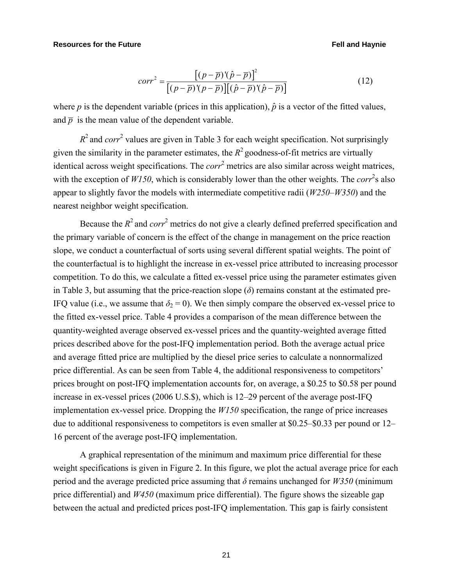$$
corr^2 = \frac{\left[ (p - \overline{p})'(\hat{p} - \overline{p}) \right]^2}{\left[ (p - \overline{p})'(p - \overline{p}) \right] \left[ (\hat{p} - \overline{p})'(\hat{p} - \overline{p}) \right]}
$$
(12)

where *p* is the dependent variable (prices in this application),  $\hat{p}$  is a vector of the fitted values, and  $\bar{p}$  is the mean value of the dependent variable.

 $R<sup>2</sup>$  and *corr*<sup>2</sup> values are given in Table 3 for each weight specification. Not surprisingly given the similarity in the parameter estimates, the  $R^2$  goodness-of-fit metrics are virtually identical across weight specifications. The *corr* 2 metrics are also similar across weight matrices, with the exception of  $W150$ , which is considerably lower than the other weights. The *corr*<sup>2</sup>s also appear to slightly favor the models with intermediate competitive radii (*W250–W350*) and the nearest neighbor weight specification.

Because the  $R^2$  and *corr*<sup>2</sup> metrics do not give a clearly defined preferred specification and the primary variable of concern is the effect of the change in management on the price reaction slope, we conduct a counterfactual of sorts using several different spatial weights. The point of the counterfactual is to highlight the increase in ex-vessel price attributed to increasing processor competition. To do this, we calculate a fitted ex-vessel price using the parameter estimates given in Table 3, but assuming that the price-reaction slope  $(\delta)$  remains constant at the estimated pre-IFQ value (i.e., we assume that  $\delta_2 = 0$ ). We then simply compare the observed ex-vessel price to the fitted ex-vessel price. Table 4 provides a comparison of the mean difference between the quantity-weighted average observed ex-vessel prices and the quantity-weighted average fitted prices described above for the post-IFQ implementation period. Both the average actual price and average fitted price are multiplied by the diesel price series to calculate a nonnormalized price differential. As can be seen from Table 4, the additional responsiveness to competitors' prices brought on post-IFQ implementation accounts for, on average, a \$0.25 to \$0.58 per pound increase in ex-vessel prices (2006 U.S.\$), which is 12–29 percent of the average post-IFQ implementation ex-vessel price. Dropping the *W150* specification, the range of price increases due to additional responsiveness to competitors is even smaller at \$0.25–\$0.33 per pound or 12– 16 percent of the average post-IFQ implementation.

A graphical representation of the minimum and maximum price differential for these weight specifications is given in Figure 2. In this figure, we plot the actual average price for each period and the average predicted price assuming that *δ* remains unchanged for *W350* (minimum price differential) and *W450* (maximum price differential). The figure shows the sizeable gap between the actual and predicted prices post-IFQ implementation. This gap is fairly consistent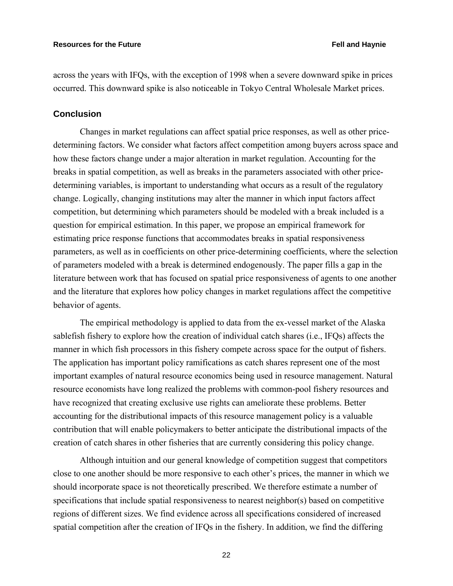across the years with IFQs, with the exception of 1998 when a severe downward spike in prices occurred. This downward spike is also noticeable in Tokyo Central Wholesale Market prices.

# **Conclusion**

Changes in market regulations can affect spatial price responses, as well as other pricedetermining factors. We consider what factors affect competition among buyers across space and how these factors change under a major alteration in market regulation. Accounting for the breaks in spatial competition, as well as breaks in the parameters associated with other pricedetermining variables, is important to understanding what occurs as a result of the regulatory change. Logically, changing institutions may alter the manner in which input factors affect competition, but determining which parameters should be modeled with a break included is a question for empirical estimation. In this paper, we propose an empirical framework for estimating price response functions that accommodates breaks in spatial responsiveness parameters, as well as in coefficients on other price-determining coefficients, where the selection of parameters modeled with a break is determined endogenously. The paper fills a gap in the literature between work that has focused on spatial price responsiveness of agents to one another and the literature that explores how policy changes in market regulations affect the competitive behavior of agents.

The empirical methodology is applied to data from the ex-vessel market of the Alaska sablefish fishery to explore how the creation of individual catch shares (i.e., IFQs) affects the manner in which fish processors in this fishery compete across space for the output of fishers. The application has important policy ramifications as catch shares represent one of the most important examples of natural resource economics being used in resource management. Natural resource economists have long realized the problems with common-pool fishery resources and have recognized that creating exclusive use rights can ameliorate these problems. Better accounting for the distributional impacts of this resource management policy is a valuable contribution that will enable policymakers to better anticipate the distributional impacts of the creation of catch shares in other fisheries that are currently considering this policy change.

Although intuition and our general knowledge of competition suggest that competitors close to one another should be more responsive to each other's prices, the manner in which we should incorporate space is not theoretically prescribed. We therefore estimate a number of specifications that include spatial responsiveness to nearest neighbor(s) based on competitive regions of different sizes. We find evidence across all specifications considered of increased spatial competition after the creation of IFQs in the fishery. In addition, we find the differing

22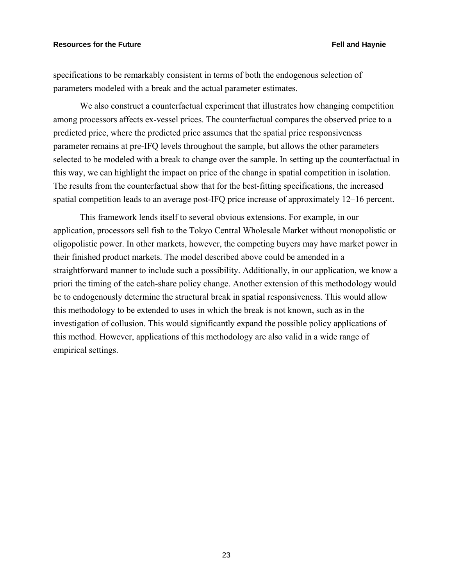specifications to be remarkably consistent in terms of both the endogenous selection of parameters modeled with a break and the actual parameter estimates.

We also construct a counterfactual experiment that illustrates how changing competition among processors affects ex-vessel prices. The counterfactual compares the observed price to a predicted price, where the predicted price assumes that the spatial price responsiveness parameter remains at pre-IFQ levels throughout the sample, but allows the other parameters selected to be modeled with a break to change over the sample. In setting up the counterfactual in this way, we can highlight the impact on price of the change in spatial competition in isolation. The results from the counterfactual show that for the best-fitting specifications, the increased spatial competition leads to an average post-IFQ price increase of approximately 12–16 percent.

This framework lends itself to several obvious extensions. For example, in our application, processors sell fish to the Tokyo Central Wholesale Market without monopolistic or oligopolistic power. In other markets, however, the competing buyers may have market power in their finished product markets. The model described above could be amended in a straightforward manner to include such a possibility. Additionally, in our application, we know a priori the timing of the catch-share policy change. Another extension of this methodology would be to endogenously determine the structural break in spatial responsiveness. This would allow this methodology to be extended to uses in which the break is not known, such as in the investigation of collusion. This would significantly expand the possible policy applications of this method. However, applications of this methodology are also valid in a wide range of empirical settings.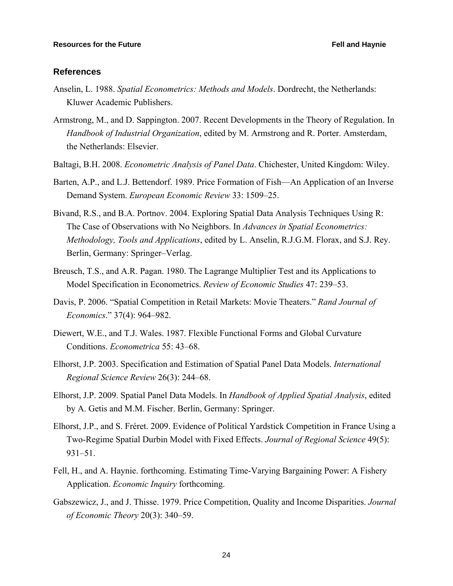# **References**

- Anselin, L. 1988. *Spatial Econometrics: Methods and Models*. Dordrecht, the Netherlands: Kluwer Academic Publishers.
- Armstrong, M., and D. Sappington. 2007. Recent Developments in the Theory of Regulation. In *Handbook of Industrial Organization*, edited by M. Armstrong and R. Porter. Amsterdam, the Netherlands: Elsevier.
- Baltagi, B.H. 2008. *Econometric Analysis of Panel Data*. Chichester, United Kingdom: Wiley.
- Barten, A.P., and L.J. Bettendorf. 1989. Price Formation of Fish—An Application of an Inverse Demand System. *European Economic Review* 33: 1509–25.
- Bivand, R.S., and B.A. Portnov. 2004. Exploring Spatial Data Analysis Techniques Using R: The Case of Observations with No Neighbors. In *Advances in Spatial Econometrics: Methodology, Tools and Applications*, edited by L. Anselin, R.J.G.M. Florax, and S.J. Rey. Berlin, Germany: Springer–Verlag.
- Breusch, T.S., and A.R. Pagan. 1980. The Lagrange Multiplier Test and its Applications to Model Specification in Econometrics. *Review of Economic Studies* 47: 239–53.
- Davis, P. 2006. "Spatial Competition in Retail Markets: Movie Theaters." *Rand Journal of Economics*." 37(4): 964–982.
- Diewert, W.E., and T.J. Wales. 1987. Flexible Functional Forms and Global Curvature Conditions. *Econometrica* 55: 43–68.
- Elhorst, J.P. 2003. Specification and Estimation of Spatial Panel Data Models. *International Regional Science Review* 26(3): 244–68.
- Elhorst, J.P. 2009. Spatial Panel Data Models. In *Handbook of Applied Spatial Analysis*, edited by A. Getis and M.M. Fischer. Berlin, Germany: Springer.
- Elhorst, J.P., and S. Fréret. 2009. Evidence of Political Yardstick Competition in France Using a Two-Regime Spatial Durbin Model with Fixed Effects. *Journal of Regional Science* 49(5): 931–51.
- Fell, H., and A. Haynie. forthcoming. Estimating Time-Varying Bargaining Power: A Fishery Application. *Economic Inquiry* forthcoming.
- Gabszewicz, J., and J. Thisse. 1979. Price Competition, Quality and Income Disparities. *Journal of Economic Theory* 20(3): 340–59.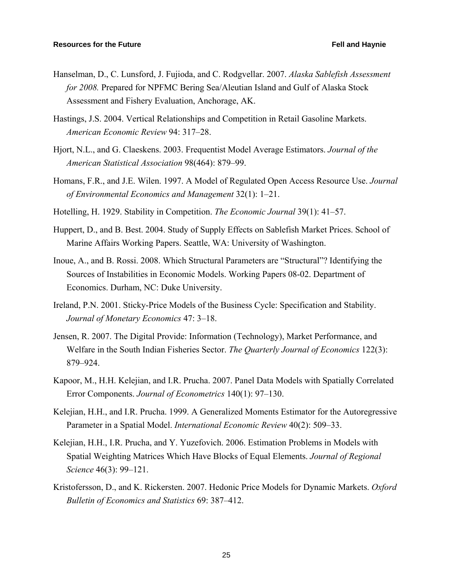- Hanselman, D., C. Lunsford, J. Fujioda, and C. Rodgvellar. 2007. *Alaska Sablefish Assessment for 2008.* Prepared for NPFMC Bering Sea/Aleutian Island and Gulf of Alaska Stock Assessment and Fishery Evaluation, Anchorage, AK.
- Hastings, J.S. 2004. Vertical Relationships and Competition in Retail Gasoline Markets. *American Economic Review* 94: 317–28.
- Hjort, N.L., and G. Claeskens. 2003. Frequentist Model Average Estimators. *Journal of the American Statistical Association* 98(464): 879–99.
- Homans, F.R., and J.E. Wilen. 1997. A Model of Regulated Open Access Resource Use. *Journal of Environmental Economics and Management* 32(1): 1–21.
- Hotelling, H. 1929. Stability in Competition. *The Economic Journal* 39(1): 41–57.
- Huppert, D., and B. Best. 2004. Study of Supply Effects on Sablefish Market Prices. School of Marine Affairs Working Papers. Seattle, WA: University of Washington.
- Inoue, A., and B. Rossi. 2008. Which Structural Parameters are "Structural"? Identifying the Sources of Instabilities in Economic Models. Working Papers 08-02. Department of Economics. Durham, NC: Duke University.
- Ireland, P.N. 2001. Sticky-Price Models of the Business Cycle: Specification and Stability. *Journal of Monetary Economics* 47: 3–18.
- Jensen, R. 2007. The Digital Provide: Information (Technology), Market Performance, and Welfare in the South Indian Fisheries Sector. *The Quarterly Journal of Economics* 122(3): 879–924.
- Kapoor, M., H.H. Kelejian, and I.R. Prucha. 2007. Panel Data Models with Spatially Correlated Error Components. *Journal of Econometrics* 140(1): 97–130.
- Kelejian, H.H., and I.R. Prucha. 1999. A Generalized Moments Estimator for the Autoregressive Parameter in a Spatial Model. *International Economic Review* 40(2): 509–33.
- Kelejian, H.H., I.R. Prucha, and Y. Yuzefovich. 2006. Estimation Problems in Models with Spatial Weighting Matrices Which Have Blocks of Equal Elements. *Journal of Regional Science* 46(3): 99–121.
- Kristofersson, D., and K. Rickersten. 2007. Hedonic Price Models for Dynamic Markets. *Oxford Bulletin of Economics and Statistics* 69: 387–412.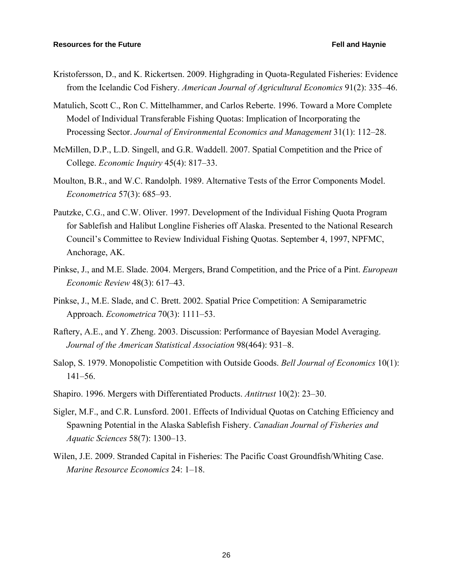- Kristofersson, D., and K. Rickertsen. 2009. Highgrading in Quota-Regulated Fisheries: Evidence from the Icelandic Cod Fishery. *American Journal of Agricultural Economics* 91(2): 335–46.
- Matulich, Scott C., Ron C. Mittelhammer, and Carlos Reberte. 1996. Toward a More Complete Model of Individual Transferable Fishing Quotas: Implication of Incorporating the Processing Sector. *Journal of Environmental Economics and Management* 31(1): 112–28.
- McMillen, D.P., L.D. Singell, and G.R. Waddell. 2007. Spatial Competition and the Price of College. *Economic Inquiry* 45(4): 817–33.
- Moulton, B.R., and W.C. Randolph. 1989. Alternative Tests of the Error Components Model. *Econometrica* 57(3): 685–93.
- Pautzke, C.G., and C.W. Oliver. 1997. Development of the Individual Fishing Quota Program for Sablefish and Halibut Longline Fisheries off Alaska. Presented to the National Research Council's Committee to Review Individual Fishing Quotas. September 4, 1997, NPFMC, Anchorage, AK.
- Pinkse, J., and M.E. Slade. 2004. Mergers, Brand Competition, and the Price of a Pint. *European Economic Review* 48(3): 617–43.
- Pinkse, J., M.E. Slade, and C. Brett. 2002. Spatial Price Competition: A Semiparametric Approach. *Econometrica* 70(3): 1111–53.
- Raftery, A.E., and Y. Zheng. 2003. Discussion: Performance of Bayesian Model Averaging. *Journal of the American Statistical Association* 98(464): 931–8.
- Salop, S. 1979. Monopolistic Competition with Outside Goods. *Bell Journal of Economics* 10(1): 141–56.
- Shapiro. 1996. Mergers with Differentiated Products. *Antitrust* 10(2): 23–30.
- Sigler, M.F., and C.R. Lunsford. 2001. Effects of Individual Quotas on Catching Efficiency and Spawning Potential in the Alaska Sablefish Fishery. *Canadian Journal of Fisheries and Aquatic Sciences* 58(7): 1300–13.
- Wilen, J.E. 2009. Stranded Capital in Fisheries: The Pacific Coast Groundfish/Whiting Case. *Marine Resource Economics* 24: 1–18.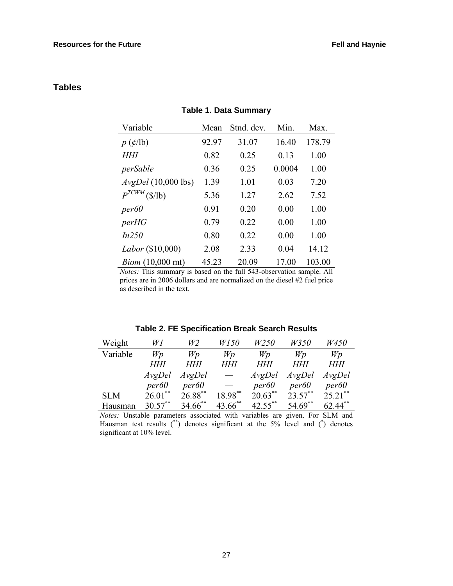# **Tables**

# **Table 1. Data Summary**

| Variable                        | Mean  | Stnd. dev. | Min.   | Max.   |
|---------------------------------|-------|------------|--------|--------|
| $p\left(\frac{\phi}{lb}\right)$ | 92.97 | 31.07      | 16.40  | 178.79 |
| HHI                             | 0.82  | 0.25       | 0.13   | 1.00   |
| perSable                        | 0.36  | 0.25       | 0.0004 | 1.00   |
| AvgDel(10,000 lbs)              | 1.39  | 1.01       | 0.03   | 7.20   |
| $P^{TCWM}(\frac{C}{b})$         | 5.36  | 1.27       | 2.62   | 7.52   |
| per <sub>60</sub>               | 0.91  | 0.20       | 0.00   | 1.00   |
| perHG                           | 0.79  | 0.22       | 0.00   | 1.00   |
| In250                           | 0.80  | 0.22       | 0.00   | 1.00   |
| Labor (\$10,000)                | 2.08  | 2.33       | 0.04   | 14.12  |
| <i>Biom</i> (10,000 mt)         | 45.23 | 20.09      | 17.00  | 103.00 |

*Notes:* This summary is based on the full 543-observation sample. All prices are in 2006 dollars and are normalized on the diesel #2 fuel price as described in the text.

| <b>Table 2. FE Specification Break Search Results</b> |
|-------------------------------------------------------|
|-------------------------------------------------------|

| Weight     | WI         | W2         | W150       | W250              | W350         | W450      |
|------------|------------|------------|------------|-------------------|--------------|-----------|
| Variable   | Wp         | Wp         | Wp         | Wp                | Wp           | Wp        |
|            | HHI        | HHI        | HHI        | HHI               | HHI          | HHI       |
|            | AvgDel     | AvgDel     |            | AvgDel            | AvgDel       | AvgDel    |
|            | per60      | per60      |            | per <sub>60</sub> | per60        | per60     |
| <b>SLM</b> | $26.01***$ | 26.88**    | 18.98**    | $20.63***$        | $23.57$ **   | $2521***$ |
| Hausman    | $30.57***$ | $34.66$ ** | $43.66$ ** | $42.55***$        | $54.69^{**}$ | 62 44**   |

*Notes:* Unstable parameters associated with variables are given. For SLM and Hausman test results (\*\*) denotes significant at the 5% level and (\* ) denotes significant at 10% level.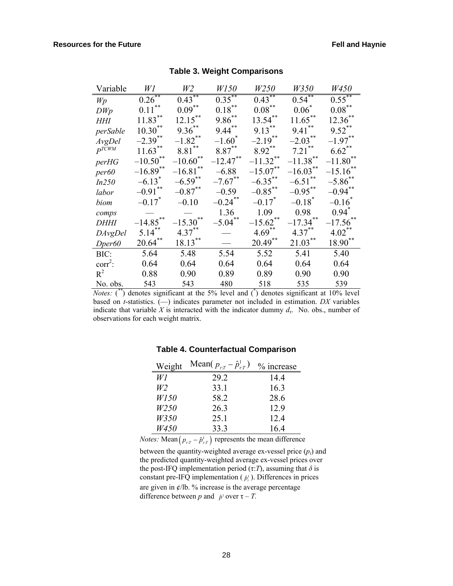| Variable       | W1                     | W <sub>2</sub>         | W150                 | W250                   | W350                 | W450                   |
|----------------|------------------------|------------------------|----------------------|------------------------|----------------------|------------------------|
| Wp             | $0.26^{**}$            | $0.43^{**}$            | $0.35***$            | $0.43***$              | $0.54^{**}$          | $0.55^{**}$            |
| DWp            | $0.11***$              | $0.09***$              | $0.18***$            | $0.08***$              | $0.06*$              | $0.08^{**}$            |
| HHI            | $11.83***$             | $12.15***$             | $9.86^{**}$          | $13.54$ **             | $11.65***$           | $12.36$ **             |
| perSable       | $10.30***$             | $9.36^{**}$            | $9.44***$            | $9.13***$              | $9.41$ **            | $9.52$ **              |
| AvgDel         | $-2.39$ **             | $-1.82$ **             | $-1.60$ <sup>*</sup> | $-2.19$ **             | $-2.03$ **           | $-1.97***$             |
| $P^{TCWM}$     | $11.63***$             | $8.81***$              | $8.87***$            | $8.92**$               | $7.21$ **            | $6.62$ **              |
| perHG          | $-10.50$ <sup>**</sup> | $-10.60$ <sup>**</sup> | $-12.47$ **          | $-11.32$ **            | $-11.38$ **          | $-11.80$ <sup>**</sup> |
| per60          | $-16.89$ **            | $-16.81$ **            | $-6.88$              | $-15.07***$            | $-16.03$ **          | $-15.16$ **            |
| In250          | $-6.13$ <sup>*</sup>   | $-6.59$ **             | $-7.67$ **           | $-6.35$ **             | $-6.51$ **           | $-5.86$ **             |
| labor          | $-0.91$ **             | $-0.87$ **             | $-0.59$              | $-0.85$ **             | $-0.95***$           | $-0.94$ **             |
| biom           | $-0.17$ <sup>*</sup>   | $-0.10$                | $-0.24$ **           | $-0.17$ <sup>*</sup>   | $-0.18$ <sup>*</sup> | $-0.16$ <sup>*</sup>   |
| comps          |                        |                        | 1.36                 | 1.09                   | 0.98                 | $0.94*$                |
| DHHI           | **<br>$-14.85$         | $\ast\ast$<br>$-15.30$ | $-5.04$ **           | $-15.62$ <sup>**</sup> | $-17.34$ **          | $-17.56$ **            |
| <b>DAvgDel</b> | $5.14***$              | $4.37***$              |                      | $4.69***$              | $4.37***$            | $4.02***$              |
| Dper60         | $20.64***$             | $18.13***$             |                      | $20.49$ **             | $21.03***$           | $18.90**$              |
| BIC:           | 5.64                   | 5.48                   | 5.54                 | 5.52                   | 5.41                 | 5.40                   |
| $corr2$ :      | 0.64                   | 0.64                   | 0.64                 | 0.64                   | 0.64                 | 0.64                   |
| $R^2$          | 0.88                   | 0.90                   | 0.89                 | 0.89                   | 0.90                 | 0.90                   |
| No. obs.       | 543                    | 543                    | 480                  | 518                    | 535                  | 539                    |

# **Table 3. Weight Comparisons**

*Notes:* (\*\*) denotes significant at the 5% level and (\*) denotes significant at 10% level based on *t*-statistics. (—) indicates parameter not included in estimation. *DX* variables indicate that variable *X* is interacted with the indicator dummy  $d<sub>τ</sub>$ . No. obs., number of observations for each weight matrix.

| Weight           | Mean( $p_{\tau T} - \hat{p}_{\tau T}^{\perp}$ ) | % increase |
|------------------|-------------------------------------------------|------------|
| WI               | 29.2                                            | 14.4       |
| W <sub>2</sub>   | 33.1                                            | 16.3       |
| W150             | 58.2                                            | 28.6       |
| W <sub>250</sub> | 26.3                                            | 12.9       |
| W350             | 25.1                                            | 12.4       |
| W450             | 33.3                                            | 16.4       |

# **Table 4. Counterfactual Comparison**

*Notes:* Mean  $\left( p_{\tau T} - \hat{p}_{\tau T}^1 \right)$  represents the mean difference

between the quantity-weighted average ex-vessel price  $(p_t)$  and the predicted quantity-weighted average ex-vessel prices over the post-IFQ implementation period  $(\tau;T)$ , assuming that  $\delta$  is constant pre-IFQ implementation ( $\hat{p}_i^{\text{t}}$ ). Differences in prices

are given in  $\frac{\ell}{\text{b}}$ . % increase is the average percentage difference between *p* and  $\hat{p}^1$  over  $\tau - T$ .